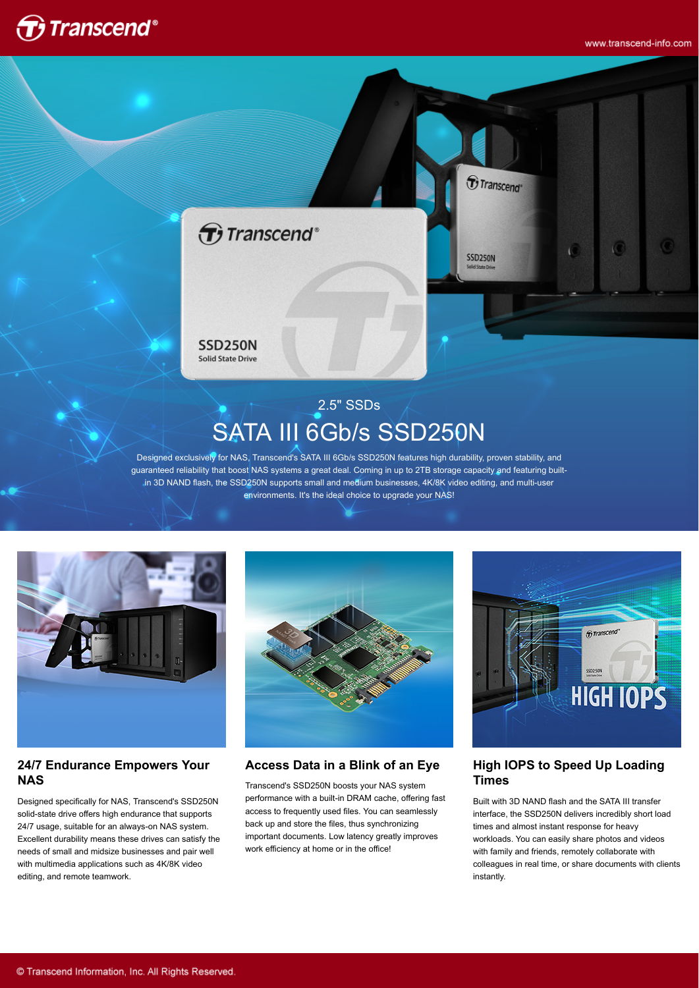



# 2.5" SSDs SATA III 6Gb/s SSD250N

Designed exclusively for NAS, Transcend's SATA III 6Gb/s SSD250N features high durability, proven stability, and guaranteed reliability that boost NAS systems a great deal. Coming in up to 2TB storage capacity and featuring builtin 3D NAND flash, the SSD250N supports small and medium businesses, 4K/8K video editing, and multi-user environments. It's the ideal choice to upgrade your NAS!



#### **24/7 Endurance Empowers Your NAS**

Designed specifically for NAS, Transcend's SSD250N solid-state drive offers high endurance that supports 24/7 usage, suitable for an always-on NAS system. Excellent durability means these drives can satisfy the needs of small and midsize businesses and pair well with multimedia applications such as 4K/8K video editing, and remote teamwork.



### **Access Data in a Blink of an Eye**

Transcend's SSD250N boosts your NAS system performance with a built-in DRAM cache, offering fast access to frequently used files. You can seamlessly back up and store the files, thus synchronizing important documents. Low latency greatly improves work efficiency at home or in the office!



### **High IOPS to Speed Up Loading Times**

Built with 3D NAND flash and the SATA III transfer interface, the SSD250N delivers incredibly short load times and almost instant response for heavy workloads. You can easily share photos and videos with family and friends, remotely collaborate with colleagues in real time, or share documents with clients instantly.